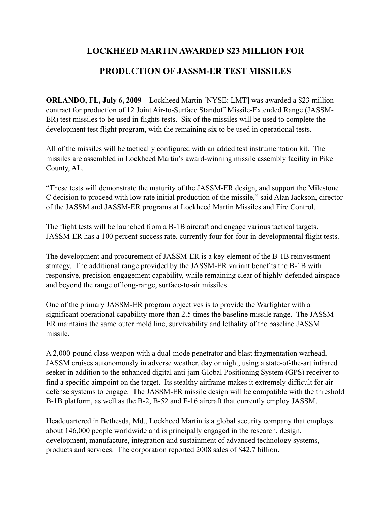## **LOCKHEED MARTIN AWARDED \$23 MILLION FOR PRODUCTION OF JASSM-ER TEST MISSILES**

**ORLANDO, FL, July 6, 2009 –** Lockheed Martin [NYSE: LMT] was awarded a \$23 million contract for production of 12 Joint Air-to-Surface Standoff Missile-Extended Range (JASSM-ER) test missiles to be used in flights tests. Six of the missiles will be used to complete the development test flight program, with the remaining six to be used in operational tests.

All of the missiles will be tactically configured with an added test instrumentation kit. The missiles are assembled in Lockheed Martin's award-winning missile assembly facility in Pike County, AL.

"These tests will demonstrate the maturity of the JASSM-ER design, and support the Milestone C decision to proceed with low rate initial production of the missile," said Alan Jackson, director of the JASSM and JASSM-ER programs at Lockheed Martin Missiles and Fire Control.

The flight tests will be launched from a B-1B aircraft and engage various tactical targets. JASSM-ER has a 100 percent success rate, currently four-for-four in developmental flight tests.

The development and procurement of JASSM-ER is a key element of the B-1B reinvestment strategy. The additional range provided by the JASSM-ER variant benefits the B-1B with responsive, precision-engagement capability, while remaining clear of highly-defended airspace and beyond the range of long-range, surface-to-air missiles.

One of the primary JASSM-ER program objectives is to provide the Warfighter with a significant operational capability more than 2.5 times the baseline missile range. The JASSM-ER maintains the same outer mold line, survivability and lethality of the baseline JASSM missile.

A 2,000-pound class weapon with a dual-mode penetrator and blast fragmentation warhead, JASSM cruises autonomously in adverse weather, day or night, using a state-of-the-art infrared seeker in addition to the enhanced digital anti-jam Global Positioning System (GPS) receiver to find a specific aimpoint on the target. Its stealthy airframe makes it extremely difficult for air defense systems to engage. The JASSM-ER missile design will be compatible with the threshold B-1B platform, as well as the B-2, B-52 and F-16 aircraft that currently employ JASSM.

Headquartered in Bethesda, Md., Lockheed Martin is a global security company that employs about 146,000 people worldwide and is principally engaged in the research, design, development, manufacture, integration and sustainment of advanced technology systems, products and services. The corporation reported 2008 sales of \$42.7 billion.